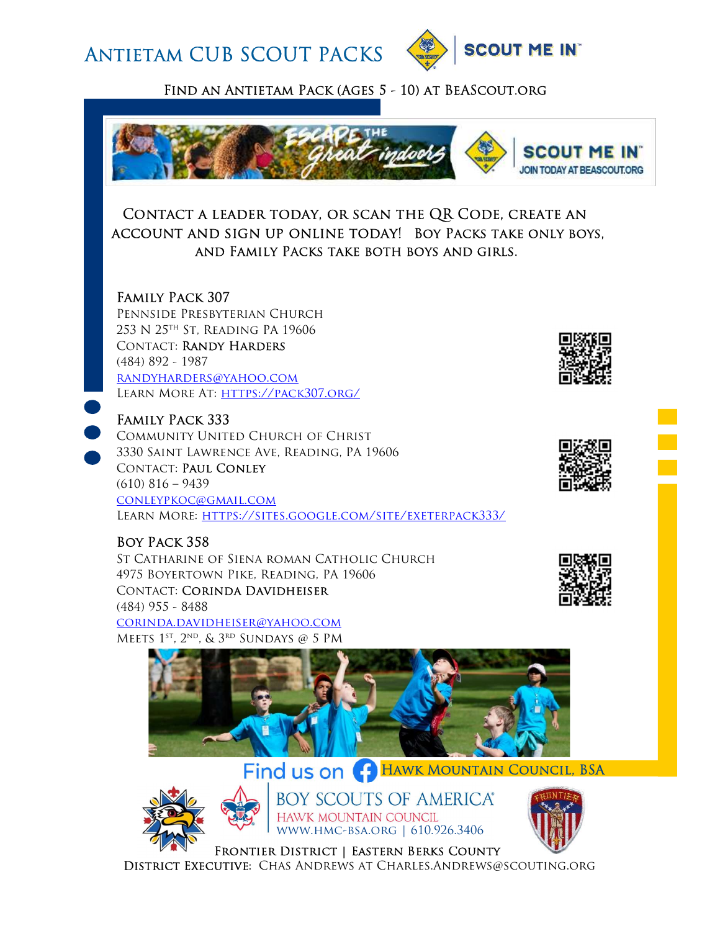Antietam CUB SCOUT PACKS



Find an Antietam Pack (Ages 5 - 10) at BeAScout.org



### Contact a leader today, or scan the QR Code, create an account and sign up online today! Boy Packs take only boys, and Family Packs take both boys and girls.

### Family Pack 307

Pennside Presbyterian Church 253 N 25th St, Reading PA 19606 Contact: Randy Harders (484) 892 - 1987 randyharders@yahoo.com Learn More At: https://pack307.org/

## Family Pack 333

Community United Church of Christ 3330 Saint Lawrence Ave, Reading, PA 19606 CONTACT: PAUL CONLEY  $(610)$  816 – 9439 conleypkoc@gmail.com LEARN MORE: HTTPS://SITES.GOOGLE.COM/SITE/EXETERPACK333/

## Boy Pack 358

St Catharine of Siena roman Catholic Church 4975 Boyertown Pike, Reading, PA 19606 Contact: Corinda Davidheiser (484) 955 - 8488 corinda.davidheiser@yahoo.com Meets 1st, 2nd, & 3rd Sundays @ 5 PM



# Find us on **C** HAWK MOUNTAIN COUNCIL, BSA



**BOY SCOUTS OF AMERICA®** HAWK MOUNTAIN COUNCIL www.hmc-bsa.org | 610.926.3406









Frontier District | Eastern Berks County District Executive: Chas Andrews at Charles.Andrews@scouting.org